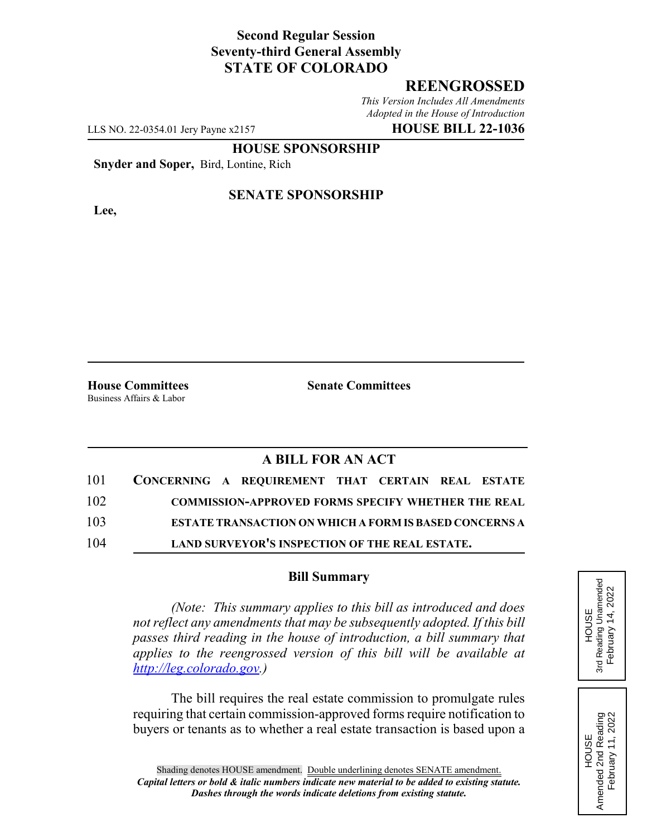# **Second Regular Session Seventy-third General Assembly STATE OF COLORADO**

## **REENGROSSED**

*This Version Includes All Amendments Adopted in the House of Introduction*

LLS NO. 22-0354.01 Jery Payne x2157 **HOUSE BILL 22-1036**

### **HOUSE SPONSORSHIP**

**Snyder and Soper,** Bird, Lontine, Rich

**Lee,**

### **SENATE SPONSORSHIP**

Business Affairs & Labor

**House Committees Senate Committees**

### **A BILL FOR AN ACT**

| 101 | CONCERNING A REQUIREMENT THAT CERTAIN REAL ESTATE             |
|-----|---------------------------------------------------------------|
| 102 | <b>COMMISSION-APPROVED FORMS SPECIFY WHETHER THE REAL</b>     |
| 103 | <b>ESTATE TRANSACTION ON WHICH A FORM IS BASED CONCERNS A</b> |
| 104 | LAND SURVEYOR'S INSPECTION OF THE REAL ESTATE.                |

#### **Bill Summary**

*(Note: This summary applies to this bill as introduced and does not reflect any amendments that may be subsequently adopted. If this bill passes third reading in the house of introduction, a bill summary that applies to the reengrossed version of this bill will be available at http://leg.colorado.gov.)*

The bill requires the real estate commission to promulgate rules requiring that certain commission-approved forms require notification to buyers or tenants as to whether a real estate transaction is based upon a HOUSE<br>3rd Reading Unamended 3rd Reading Unamended February 14, 2022 February 14, 2022

HOUSE Amended 2nd Reading February 11, 2022

Amended 2nd Reading<br>February 11, 2022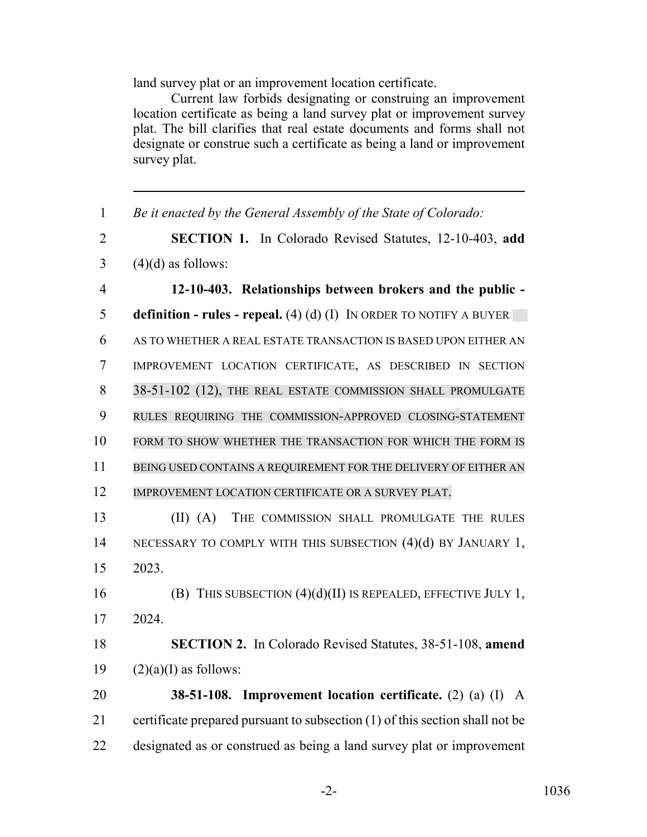land survey plat or an improvement location certificate.

Current law forbids designating or construing an improvement location certificate as being a land survey plat or improvement survey plat. The bill clarifies that real estate documents and forms shall not designate or construe such a certificate as being a land or improvement survey plat.

| $\mathbf{1}$   | Be it enacted by the General Assembly of the State of Colorado:              |
|----------------|------------------------------------------------------------------------------|
| $\overline{2}$ | <b>SECTION 1.</b> In Colorado Revised Statutes, 12-10-403, add               |
| 3              | $(4)(d)$ as follows:                                                         |
| $\overline{4}$ | 12-10-403. Relationships between brokers and the public -                    |
| 5              | <b>definition - rules - repeal.</b> (4) (d) (I) IN ORDER TO NOTIFY A BUYER   |
| 6              | AS TO WHETHER A REAL ESTATE TRANSACTION IS BASED UPON EITHER AN              |
| $\overline{7}$ | IMPROVEMENT LOCATION CERTIFICATE, AS DESCRIBED IN SECTION                    |
| 8              | 38-51-102 (12), THE REAL ESTATE COMMISSION SHALL PROMULGATE                  |
| 9              | RULES REQUIRING THE COMMISSION-APPROVED CLOSING-STATEMENT                    |
| 10             | FORM TO SHOW WHETHER THE TRANSACTION FOR WHICH THE FORM IS                   |
| 11             | BEING USED CONTAINS A REQUIREMENT FOR THE DELIVERY OF EITHER AN              |
| 12             | IMPROVEMENT LOCATION CERTIFICATE OR A SURVEY PLAT.                           |
| 13             | $(II)$ $(A)$<br>THE COMMISSION SHALL PROMULGATE THE RULES                    |
| 14             | NECESSARY TO COMPLY WITH THIS SUBSECTION (4)(d) BY JANUARY 1,                |
| 15             | 2023.                                                                        |
| 16             | (B) THIS SUBSECTION $(4)(d)(II)$ IS REPEALED, EFFECTIVE JULY 1,              |
| 17             | 2024.                                                                        |
| 18             | <b>SECTION 2.</b> In Colorado Revised Statutes, 38-51-108, amend             |
| 19             | $(2)(a)(I)$ as follows:                                                      |
| 20             | 38-51-108. Improvement location certificate. (2) (a) (I) A                   |
| 21             | certificate prepared pursuant to subsection (1) of this section shall not be |
| 22             | designated as or construed as being a land survey plat or improvement        |